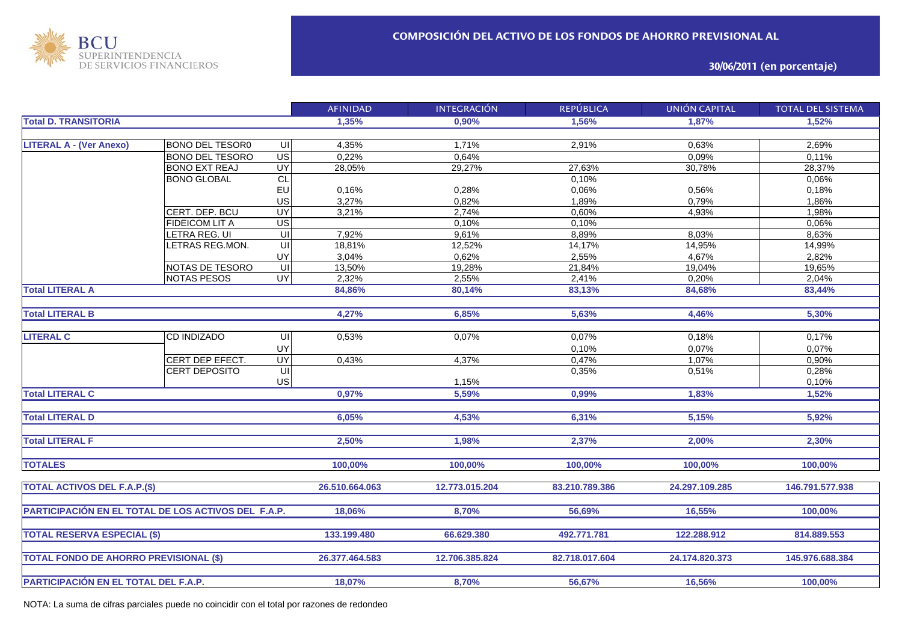

## **30/06/2011 (en porcentaje)**

|                                                     |                        |                         | <b>AFINIDAD</b> | <b>INTEGRACIÓN</b> | <b>REPÚBLICA</b> | <b>UNIÓN CAPITAL</b> | <b>TOTAL DEL SISTEMA</b> |
|-----------------------------------------------------|------------------------|-------------------------|-----------------|--------------------|------------------|----------------------|--------------------------|
| <b>Total D. TRANSITORIA</b>                         |                        |                         | 1,35%           | 0,90%              | 1,56%            | 1,87%                | 1,52%                    |
|                                                     |                        |                         |                 |                    |                  |                      |                          |
| <b>LITERAL A - (Ver Anexo)</b>                      | <b>BONO DEL TESOR0</b> | UII                     | 4,35%           | 1,71%              | 2,91%            | 0,63%                | 2,69%                    |
|                                                     | <b>BONO DEL TESORO</b> | $\overline{G}$          | 0,22%           | 0,64%              |                  | 0,09%                | 0.11%                    |
|                                                     | <b>BONO EXT REAJ</b>   | $\overline{\mathsf{C}}$ | 28,05%          | 29,27%             | 27,63%           | 30,78%               | 28,37%                   |
|                                                     | <b>BONO GLOBAL</b>     | CL                      |                 |                    | 0,10%            |                      | 0,06%                    |
|                                                     |                        | EU                      | 0,16%           | 0,28%              | 0,06%            | 0,56%                | 0,18%                    |
|                                                     |                        | US                      | 3,27%           | 0,82%              | 1,89%            | 0,79%                | 1,86%                    |
|                                                     | CERT. DEP. BCU         | <b>UY</b>               | 3,21%           | 2,74%              | 0,60%            | 4,93%                | 1,98%                    |
|                                                     | <b>FIDEICOM LIT A</b>  | $\overline{US}$         |                 | 0,10%              | 0,10%            |                      | 0,06%                    |
|                                                     | LETRA REG. UI          | $\overline{\mathsf{U}}$ | 7,92%           | 9,61%              | 8,89%            | 8,03%                | 8,63%                    |
|                                                     | LETRAS REG.MON.        | UI                      | 18,81%          | 12,52%             | 14,17%           | 14,95%               | 14,99%                   |
|                                                     |                        | UY                      | 3,04%           | 0,62%              | 2,55%            | 4,67%                | 2,82%                    |
|                                                     | NOTAS DE TESORO        | UI                      | 13,50%          | 19,28%             | 21,84%           | 19,04%               | 19,65%                   |
|                                                     | <b>NOTAS PESOS</b>     | <b>UY</b>               | 2,32%           | 2,55%              | 2,41%            | 0,20%                | 2,04%                    |
| <b>Total LITERAL A</b>                              |                        |                         | 84,86%          | 80,14%             | 83,13%           | 84,68%               | 83,44%                   |
|                                                     |                        |                         |                 |                    |                  |                      |                          |
| <b>Total LITERAL B</b>                              |                        |                         | 4,27%           | 6,85%              | 5,63%            | 4,46%                | 5,30%                    |
|                                                     |                        |                         |                 |                    |                  |                      |                          |
| <b>LITERAL C</b>                                    | <b>CD INDIZADO</b>     | UI                      | 0,53%           | 0,07%              | 0,07%            | 0,18%                | 0,17%                    |
|                                                     |                        | UY                      |                 |                    | 0,10%            | 0,07%                | 0,07%                    |
|                                                     | CERT DEP EFECT.        | UY                      | 0,43%           | 4,37%              | 0,47%            | 1,07%                | 0,90%                    |
|                                                     | CERT DEPOSITO          | UI                      |                 |                    | 0,35%            | 0,51%                | 0,28%                    |
|                                                     |                        | <b>US</b>               |                 | 1,15%              |                  |                      | 0,10%                    |
| <b>Total LITERAL C</b>                              |                        |                         | 0,97%           | 5,59%              | 0,99%            | 1,83%                | 1,52%                    |
|                                                     |                        |                         |                 |                    |                  |                      |                          |
| <b>Total LITERAL D</b>                              |                        |                         | 6,05%           | 4,53%              | 6,31%            | 5,15%                | 5,92%                    |
|                                                     |                        |                         |                 |                    |                  |                      |                          |
| <b>Total LITERAL F</b>                              |                        |                         | 2,50%           | 1,98%              | 2,37%            | 2,00%                | 2,30%                    |
|                                                     |                        |                         |                 |                    |                  |                      |                          |
| <b>TOTALES</b>                                      |                        |                         | 100,00%         | 100,00%            | 100,00%          | 100,00%              | 100,00%                  |
|                                                     |                        |                         |                 |                    |                  |                      |                          |
| <b>TOTAL ACTIVOS DEL F.A.P.(\$)</b>                 |                        |                         | 26.510.664.063  | 12.773.015.204     | 83.210.789.386   | 24.297.109.285       | 146.791.577.938          |
|                                                     |                        |                         |                 |                    |                  |                      |                          |
| PARTICIPACIÓN EN EL TOTAL DE LOS ACTIVOS DEL F.A.P. |                        |                         | 18,06%          | 8,70%              | 56,69%           | 16,55%               | 100,00%                  |
|                                                     |                        |                         |                 |                    |                  |                      |                          |
| <b>TOTAL RESERVA ESPECIAL (\$)</b>                  |                        |                         | 133.199.480     | 66.629.380         | 492.771.781      | 122.288.912          | 814.889.553              |
|                                                     |                        |                         |                 |                    |                  |                      |                          |
|                                                     |                        |                         | 26.377.464.583  | 12.706.385.824     | 82.718.017.604   | 24.174.820.373       | 145.976.688.384          |
| <b>TOTAL FONDO DE AHORRO PREVISIONAL (\$)</b>       |                        |                         |                 |                    |                  |                      |                          |
|                                                     |                        |                         | 18,07%          | 8,70%              | 56,67%           | 16,56%               | 100,00%                  |
| PARTICIPACIÓN EN EL TOTAL DEL F.A.P.                |                        |                         |                 |                    |                  |                      |                          |

NOTA: La suma de cifras parciales puede no coincidir con el total por razones de redondeo